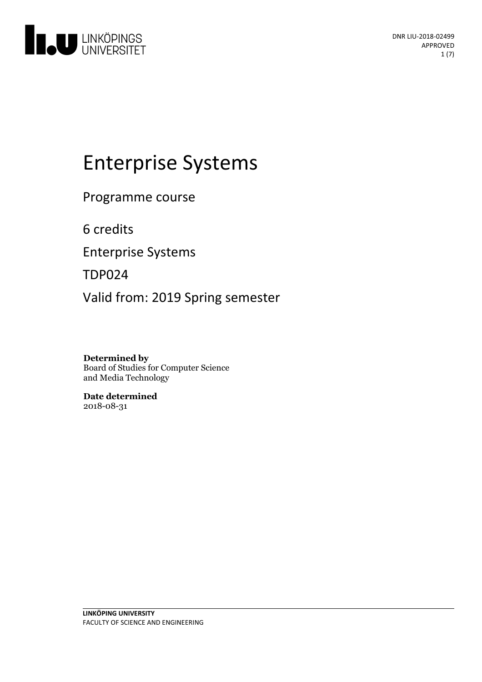

# Enterprise Systems

Programme course

6 credits

Enterprise Systems

TDP024

Valid from: 2019 Spring semester

**Determined by** Board of Studies for Computer Science and Media Technology

**Date determined** 2018-08-31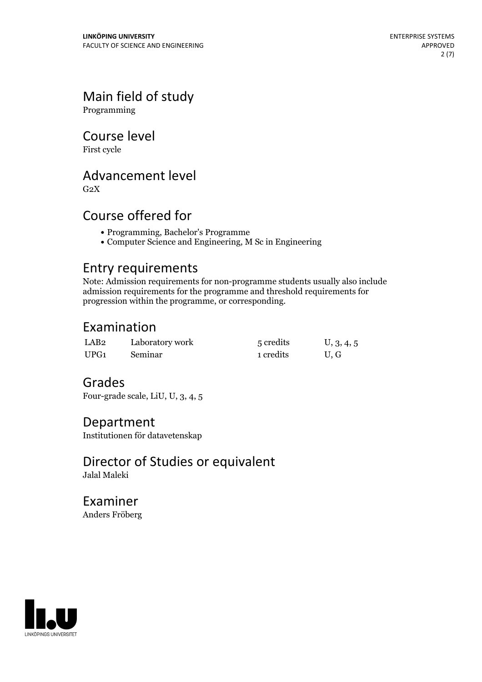## Main field of study

Programming

## Course level

First cycle

## Advancement level

 $G<sub>2</sub>X$ 

## Course offered for

- Programming, Bachelor's Programme
- Computer Science and Engineering, M Sc in Engineering

## Entry requirements

Note: Admission requirements for non-programme students usually also include admission requirements for the programme and threshold requirements for progression within the programme, or corresponding.

## Examination

| LAB <sub>2</sub> | Laboratory work | 5 credits | U, 3, 4, 5 |
|------------------|-----------------|-----------|------------|
| UPG1             | Seminar         | 1 credits | U, G       |

## Grades

Four-grade scale, LiU, U, 3, 4, 5

## Department

Institutionen för datavetenskap

#### Director of Studies or equivalent Jalal Maleki

Examiner Anders Fröberg

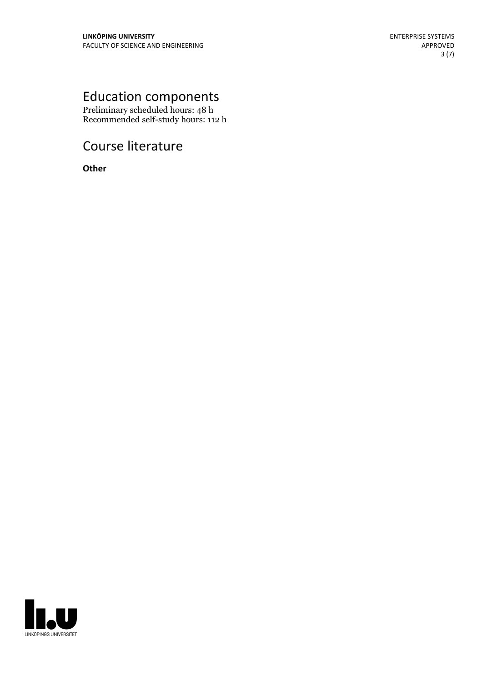## Education components

Preliminary scheduled hours: 48 h Recommended self-study hours: 112 h

## Course literature

**Other**

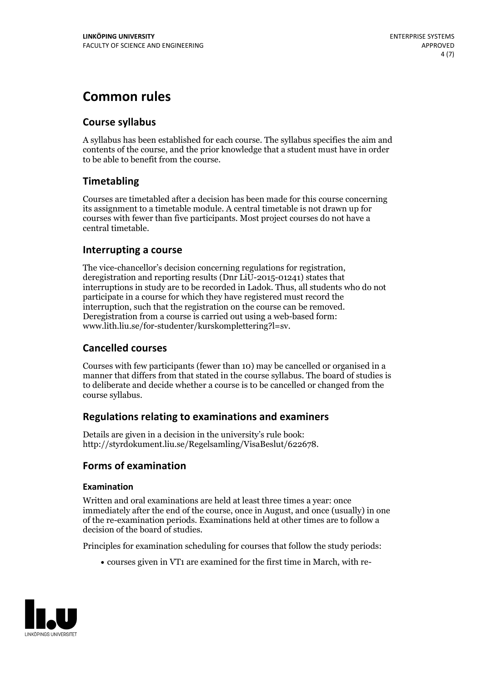## **Common rules**

#### **Course syllabus**

A syllabus has been established for each course. The syllabus specifies the aim and contents of the course, and the prior knowledge that a student must have in order to be able to benefit from the course.

#### **Timetabling**

Courses are timetabled after a decision has been made for this course concerning its assignment to a timetable module. A central timetable is not drawn up for courses with fewer than five participants. Most project courses do not have a central timetable.

#### **Interrupting a course**

The vice-chancellor's decision concerning regulations for registration, deregistration and reporting results (Dnr LiU-2015-01241) states that interruptions in study are to be recorded in Ladok. Thus, all students who do not participate in a course for which they have registered must record the interruption, such that the registration on the course can be removed. Deregistration from <sup>a</sup> course is carried outusing <sup>a</sup> web-based form: www.lith.liu.se/for-studenter/kurskomplettering?l=sv.

#### **Cancelled courses**

Courses with few participants (fewer than 10) may be cancelled or organised in a manner that differs from that stated in the course syllabus. The board of studies is to deliberate and decide whether a course is to be cancelled orchanged from the course syllabus.

#### **Regulations relatingto examinations and examiners**

Details are given in a decision in the university's rule book: http://styrdokument.liu.se/Regelsamling/VisaBeslut/622678.

#### **Forms of examination**

#### **Examination**

Written and oral examinations are held at least three times a year: once immediately after the end of the course, once in August, and once (usually) in one of the re-examination periods. Examinations held at other times are to follow a decision of the board of studies.

Principles for examination scheduling for courses that follow the study periods:

courses given in VT1 are examined for the first time in March, with re-

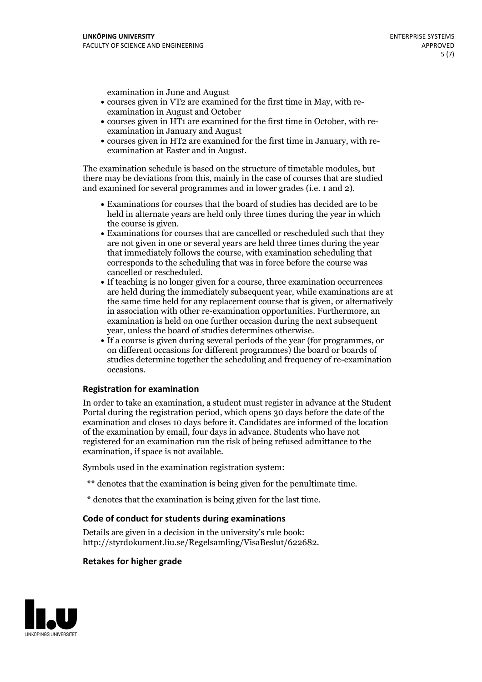examination in June and August

- courses given in VT2 are examined for the first time in May, with re-examination in August and October
- courses given in HT1 are examined for the first time in October, with re-examination in January and August
- courses given in HT2 are examined for the first time in January, with re-examination at Easter and in August.

The examination schedule is based on the structure of timetable modules, but there may be deviations from this, mainly in the case of courses that are studied and examined for several programmes and in lower grades (i.e. 1 and 2).

- Examinations for courses that the board of studies has decided are to be held in alternate years are held only three times during the year in which
- the course is given.<br>• Examinations for courses that are cancelled or rescheduled such that they are not given in one or several years are held three times during the year that immediately follows the course, with examination scheduling that corresponds to the scheduling that was in force before the course was cancelled or rescheduled.<br>• If teaching is no longer given for a course, three examination occurrences
- are held during the immediately subsequent year, while examinations are at the same time held for any replacement course that is given, or alternatively in association with other re-examination opportunities. Furthermore, an examination is held on one further occasion during the next subsequent year, unless the board of studies determines otherwise.<br>• If a course is given during several periods of the year (for programmes, or
- on different occasions for different programmes) the board orboards of studies determine together the scheduling and frequency of re-examination occasions.

#### **Registration for examination**

In order to take an examination, a student must register in advance at the Student Portal during the registration period, which opens 30 days before the date of the examination and closes 10 days before it. Candidates are informed of the location of the examination by email, four days in advance. Students who have not registered for an examination run the risk of being refused admittance to the examination, if space is not available.

Symbols used in the examination registration system:

- \*\* denotes that the examination is being given for the penultimate time.
- \* denotes that the examination is being given for the last time.

#### **Code of conduct for students during examinations**

Details are given in a decision in the university's rule book: http://styrdokument.liu.se/Regelsamling/VisaBeslut/622682.

#### **Retakes for higher grade**

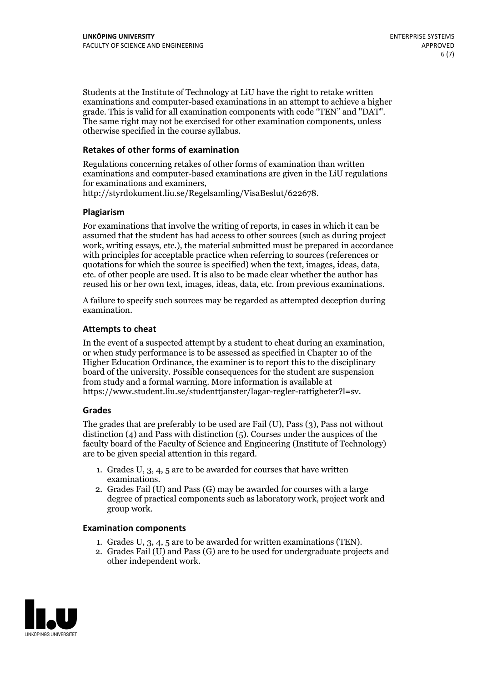Students at the Institute of Technology at LiU have the right to retake written examinations and computer-based examinations in an attempt to achieve a higher grade. This is valid for all examination components with code "TEN" and "DAT". The same right may not be exercised for other examination components, unless otherwise specified in the course syllabus.

#### **Retakes of other forms of examination**

Regulations concerning retakes of other forms of examination than written examinations and computer-based examinations are given in the LiU regulations for examinations and examiners, http://styrdokument.liu.se/Regelsamling/VisaBeslut/622678.

#### **Plagiarism**

For examinations that involve the writing of reports, in cases in which it can be assumed that the student has had access to other sources (such as during project work, writing essays, etc.), the material submitted must be prepared in accordance with principles for acceptable practice when referring to sources (references or quotations for which the source is specified) when the text, images, ideas, data, etc. of other people are used. It is also to be made clear whether the author has reused his or her own text, images, ideas, data, etc. from previous examinations.

A failure to specify such sources may be regarded as attempted deception during examination.

#### **Attempts to cheat**

In the event of <sup>a</sup> suspected attempt by <sup>a</sup> student to cheat during an examination, or when study performance is to be assessed as specified in Chapter <sup>10</sup> of the Higher Education Ordinance, the examiner is to report this to the disciplinary board of the university. Possible consequences for the student are suspension from study and a formal warning. More information is available at https://www.student.liu.se/studenttjanster/lagar-regler-rattigheter?l=sv.

#### **Grades**

The grades that are preferably to be used are Fail (U), Pass (3), Pass not without distinction  $(4)$  and Pass with distinction  $(5)$ . Courses under the auspices of the faculty board of the Faculty of Science and Engineering (Institute of Technology) are to be given special attention in this regard.

- 1. Grades U, 3, 4, 5 are to be awarded for courses that have written
- examinations. 2. Grades Fail (U) and Pass (G) may be awarded for courses with <sup>a</sup> large degree of practical components such as laboratory work, project work and group work.

#### **Examination components**

- 
- 1. Grades U, 3, 4, <sup>5</sup> are to be awarded for written examinations (TEN). 2. Grades Fail (U) and Pass (G) are to be used for undergraduate projects and other independent work.